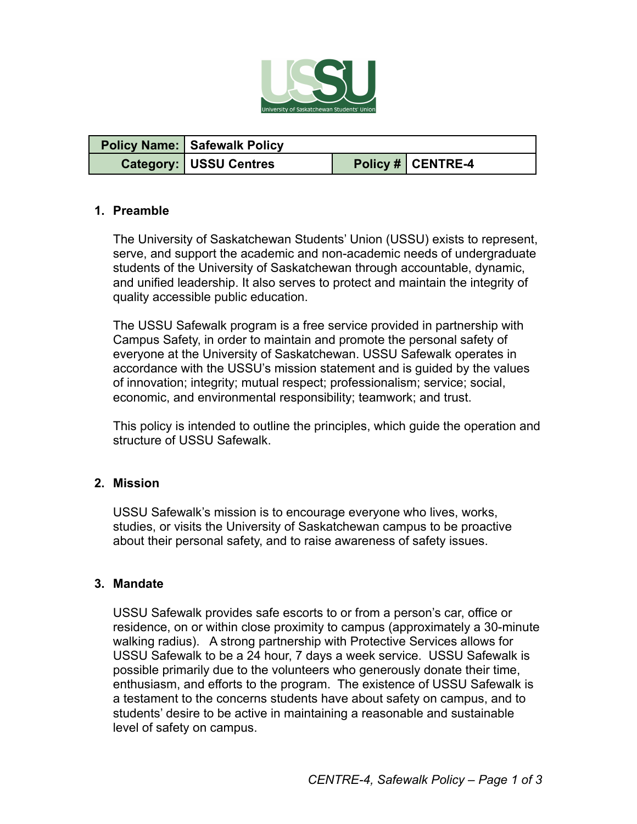

| Policy Name:   Safewalk Policy |                   |
|--------------------------------|-------------------|
| <b>Category: USSU Centres</b>  | Policy # CENTRE-4 |

#### **1. Preamble**

The University of Saskatchewan Students' Union (USSU) exists to represent, serve, and support the academic and non-academic needs of undergraduate students of the University of Saskatchewan through accountable, dynamic, and unified leadership. It also serves to protect and maintain the integrity of quality accessible public education.

The USSU Safewalk program is a free service provided in partnership with Campus Safety, in order to maintain and promote the personal safety of everyone at the University of Saskatchewan. USSU Safewalk operates in accordance with the USSU's mission statement and is guided by the values of innovation; integrity; mutual respect; professionalism; service; social, economic, and environmental responsibility; teamwork; and trust.

This policy is intended to outline the principles, which guide the operation and structure of USSU Safewalk.

#### **2. Mission**

USSU Safewalk's mission is to encourage everyone who lives, works, studies, or visits the University of Saskatchewan campus to be proactive about their personal safety, and to raise awareness of safety issues.

### **3. Mandate**

USSU Safewalk provides safe escorts to or from a person's car, office or residence, on or within close proximity to campus (approximately a 30-minute walking radius). A strong partnership with Protective Services allows for USSU Safewalk to be a 24 hour, 7 days a week service. USSU Safewalk is possible primarily due to the volunteers who generously donate their time, enthusiasm, and efforts to the program. The existence of USSU Safewalk is a testament to the concerns students have about safety on campus, and to students' desire to be active in maintaining a reasonable and sustainable level of safety on campus.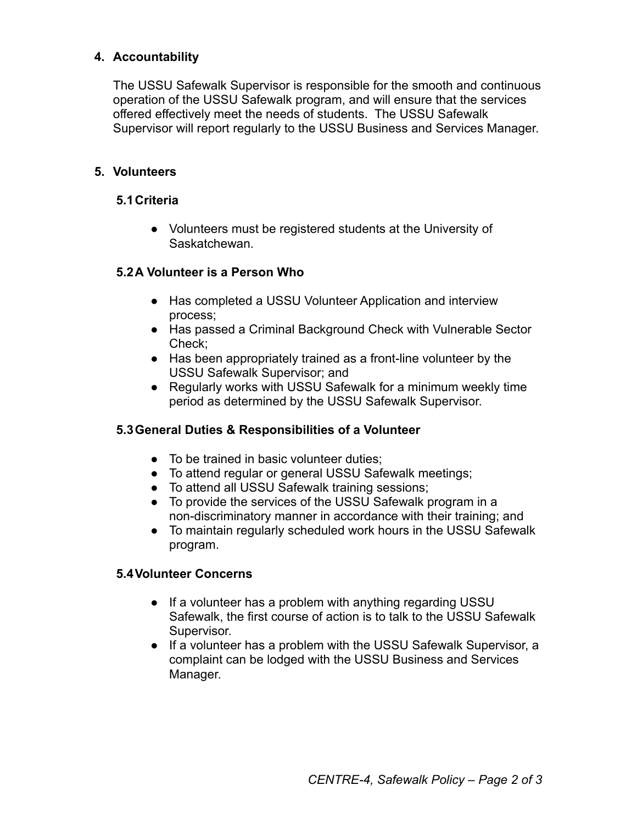### **4. Accountability**

The USSU Safewalk Supervisor is responsible for the smooth and continuous operation of the USSU Safewalk program, and will ensure that the services offered effectively meet the needs of students. The USSU Safewalk Supervisor will report regularly to the USSU Business and Services Manager.

### **5. Volunteers**

### **5.1Criteria**

● Volunteers must be registered students at the University of Saskatchewan.

### **5.2A Volunteer is a Person Who**

- Has completed a USSU Volunteer Application and interview process;
- Has passed a Criminal Background Check with Vulnerable Sector Check;
- Has been appropriately trained as a front-line volunteer by the USSU Safewalk Supervisor; and
- Regularly works with USSU Safewalk for a minimum weekly time period as determined by the USSU Safewalk Supervisor.

### **5.3General Duties & Responsibilities of a Volunteer**

- To be trained in basic volunteer duties;
- To attend regular or general USSU Safewalk meetings;
- To attend all USSU Safewalk training sessions;
- To provide the services of the USSU Safewalk program in a non-discriminatory manner in accordance with their training; and
- To maintain regularly scheduled work hours in the USSU Safewalk program.

### **5.4Volunteer Concerns**

- If a volunteer has a problem with anything regarding USSU Safewalk, the first course of action is to talk to the USSU Safewalk Supervisor.
- If a volunteer has a problem with the USSU Safewalk Supervisor, a complaint can be lodged with the USSU Business and Services Manager.